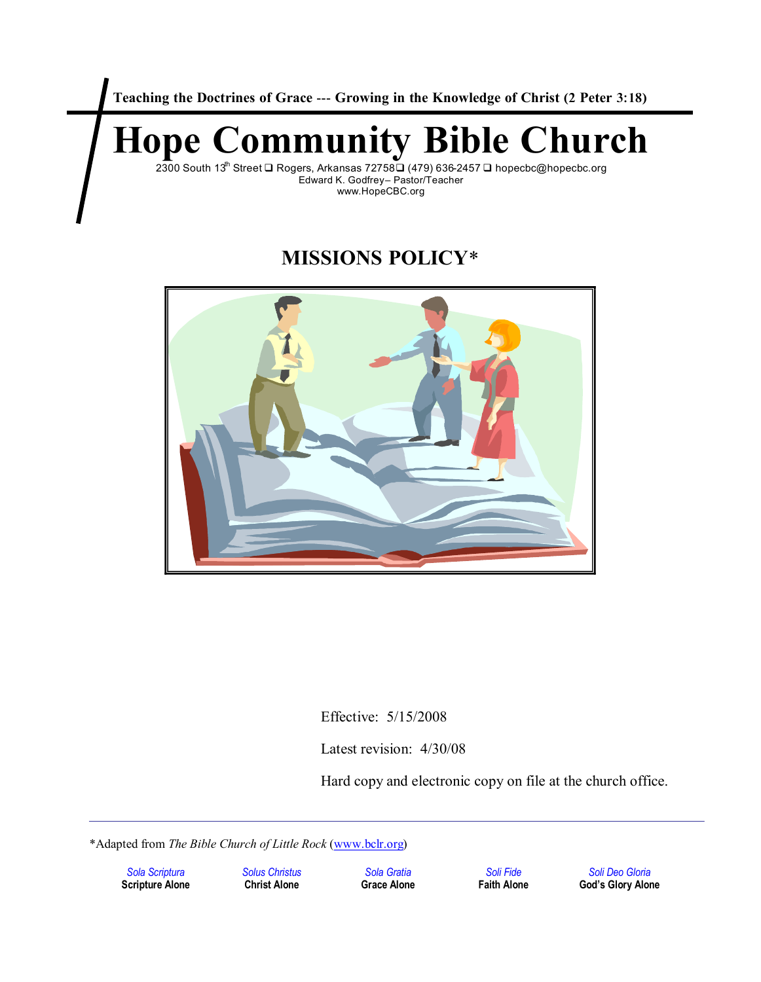**Teaching the Doctrines of Grace --- Growing in the Knowledge of Christ (2 Peter 3:18)**

# **Hope Community Bible Church**

2300 South 13<sup>th</sup> Street **□** Rogers, Arkansas 72758□ (479) 636-2457 □ hopecbc@hopecbc.org Edward K. Godfrey– Pastor/Teacher www.HopeCBC.org

# **MISSIONS POLICY\***



Effective: 5/15/2008

Latest revision: 4/30/08

Hard copy and electronic copy on file at the church office.

\*Adapted from *The Bible Church of Little Rock* (www.bclr.org)

*Sola Scriptura Solus Christus Sola Gratia Soli Fide Soli Deo Gloria*  $God's Glory Alone$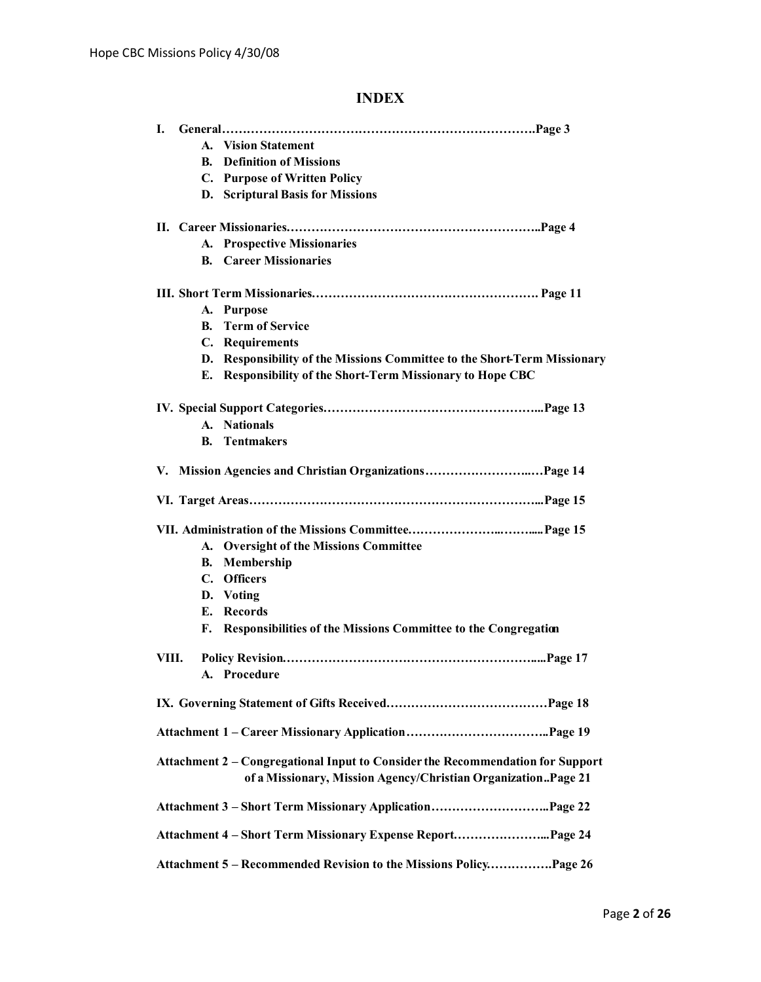# **INDEX**

| L.                                                                                                                                              |  |
|-------------------------------------------------------------------------------------------------------------------------------------------------|--|
| A. Vision Statement                                                                                                                             |  |
| <b>Definition of Missions</b><br>B.                                                                                                             |  |
| C. Purpose of Written Policy                                                                                                                    |  |
| D. Scriptural Basis for Missions                                                                                                                |  |
|                                                                                                                                                 |  |
| A. Prospective Missionaries                                                                                                                     |  |
| <b>B.</b> Career Missionaries                                                                                                                   |  |
|                                                                                                                                                 |  |
| A. Purpose                                                                                                                                      |  |
| <b>Term of Service</b><br><b>B.</b>                                                                                                             |  |
| C. Requirements                                                                                                                                 |  |
| D. Responsibility of the Missions Committee to the Short-Term Missionary                                                                        |  |
| E. Responsibility of the Short-Term Missionary to Hope CBC                                                                                      |  |
|                                                                                                                                                 |  |
| A. Nationals                                                                                                                                    |  |
| <b>Tentmakers</b><br><b>B.</b>                                                                                                                  |  |
|                                                                                                                                                 |  |
|                                                                                                                                                 |  |
|                                                                                                                                                 |  |
| A. Oversight of the Missions Committee                                                                                                          |  |
| Membership<br>В.                                                                                                                                |  |
| <b>Officers</b><br>$\mathbf{C}$ .                                                                                                               |  |
| D. Voting                                                                                                                                       |  |
| E. Records                                                                                                                                      |  |
| F. Responsibilities of the Missions Committee to the Congregation                                                                               |  |
| VIII.                                                                                                                                           |  |
| A. Procedure                                                                                                                                    |  |
|                                                                                                                                                 |  |
|                                                                                                                                                 |  |
| Attachment 2 - Congregational Input to Consider the Recommendation for Support<br>of a Missionary, Mission Agency/Christian OrganizationPage 21 |  |
|                                                                                                                                                 |  |
|                                                                                                                                                 |  |
| Attachment 5 - Recommended Revision to the Missions PolicyPage 26                                                                               |  |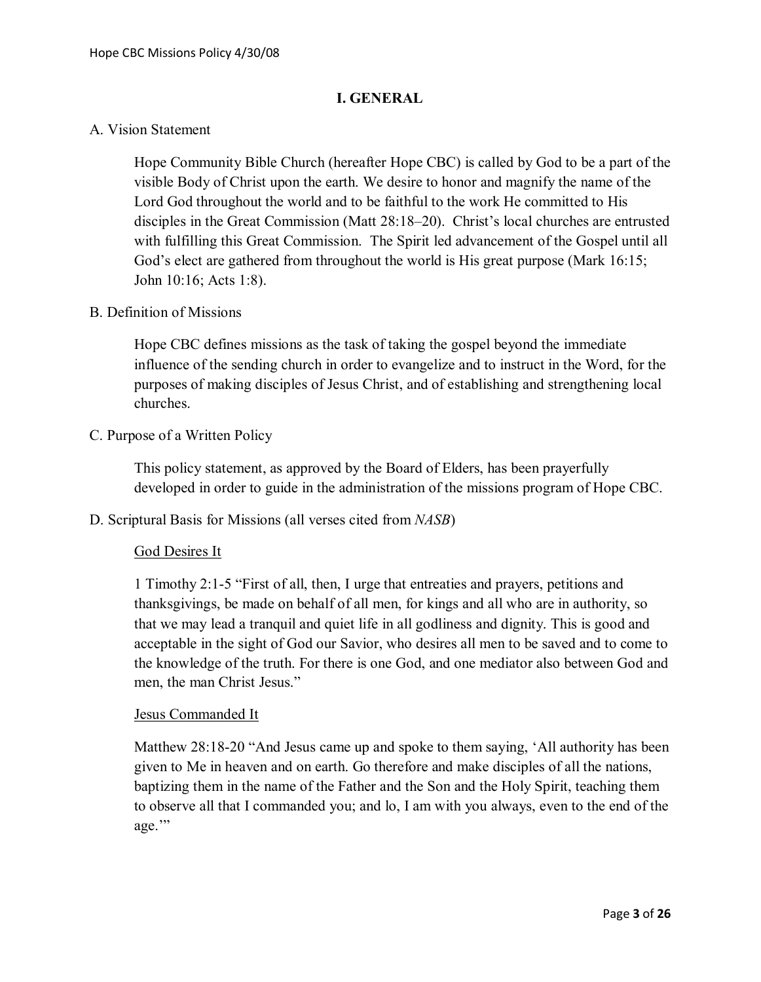#### **I. GENERAL**

#### A. Vision Statement

Hope Community Bible Church (hereafter Hope CBC) is called by God to be a part of the visible Body of Christ upon the earth. We desire to honor and magnify the name of the Lord God throughout the world and to be faithful to the work He committed to His disciples in the Great Commission (Matt 28:18–20). Christ's local churches are entrusted with fulfilling this Great Commission. The Spirit led advancement of the Gospel until all God's elect are gathered from throughout the world is His great purpose (Mark 16:15; John 10:16; Acts 1:8).

#### B. Definition of Missions

Hope CBC defines missions as the task of taking the gospel beyond the immediate influence of the sending church in order to evangelize and to instruct in the Word, for the purposes of making disciples of Jesus Christ, and of establishing and strengthening local churches.

C. Purpose of a Written Policy

This policy statement, as approved by the Board of Elders, has been prayerfully developed in order to guide in the administration of the missions program of Hope CBC.

D. Scriptural Basis for Missions (all verses cited from *NASB*)

#### God Desires It

1 Timothy 2:1-5 "First of all, then, I urge that entreaties and prayers, petitions and thanksgivings, be made on behalf of all men, for kings and all who are in authority, so that we may lead a tranquil and quiet life in all godliness and dignity. This is good and acceptable in the sight of God our Savior, who desires all men to be saved and to come to the knowledge of the truth. For there is one God, and one mediator also between God and men, the man Christ Jesus."

#### Jesus Commanded It

Matthew 28:18-20 "And Jesus came up and spoke to them saying, 'All authority has been given to Me in heaven and on earth. Go therefore and make disciples of all the nations, baptizing them in the name of the Father and the Son and the Holy Spirit, teaching them to observe all that I commanded you; and lo, I am with you always, even to the end of the age."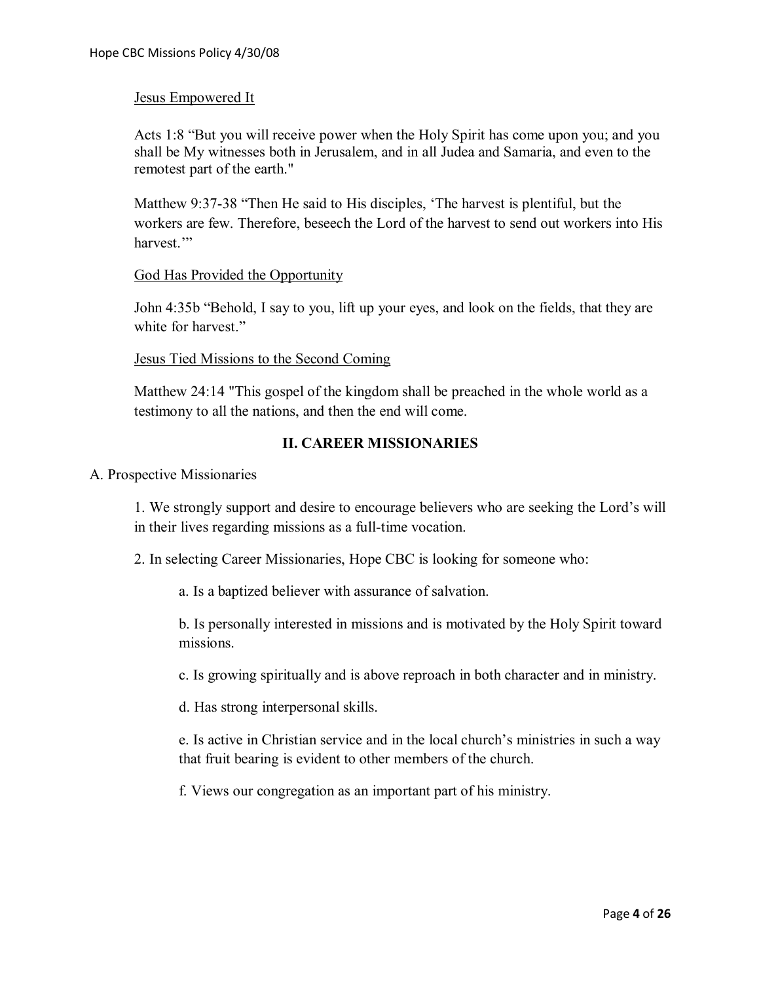#### Jesus Empowered It

Acts 1:8 "But you will receive power when the Holy Spirit has come upon you; and you shall be My witnesses both in Jerusalem, and in all Judea and Samaria, and even to the remotest part of the earth."

Matthew 9:37-38 "Then He said to His disciples, 'The harvest is plentiful, but the workers are few. Therefore, beseech the Lord of the harvest to send out workers into His harvest<sup>"</sup>

#### God Has Provided the Opportunity

John 4:35b "Behold, I say to you, lift up your eyes, and look on the fields, that they are white for harvest."

#### Jesus Tied Missions to the Second Coming

Matthew 24:14 "This gospel of the kingdom shall be preached in the whole world as a testimony to all the nations, and then the end will come.

#### **II. CAREER MISSIONARIES**

#### A. Prospective Missionaries

1. We strongly support and desire to encourage believers who are seeking the Lord's will in their lives regarding missions as a full-time vocation.

2. In selecting Career Missionaries, Hope CBC is looking for someone who:

a. Is a baptized believer with assurance of salvation.

b. Is personally interested in missions and is motivated by the Holy Spirit toward missions.

c. Is growing spiritually and is above reproach in both character and in ministry.

d. Has strong interpersonal skills.

e. Is active in Christian service and in the local church's ministries in such a way that fruit bearing is evident to other members of the church.

f. Views our congregation as an important part of his ministry.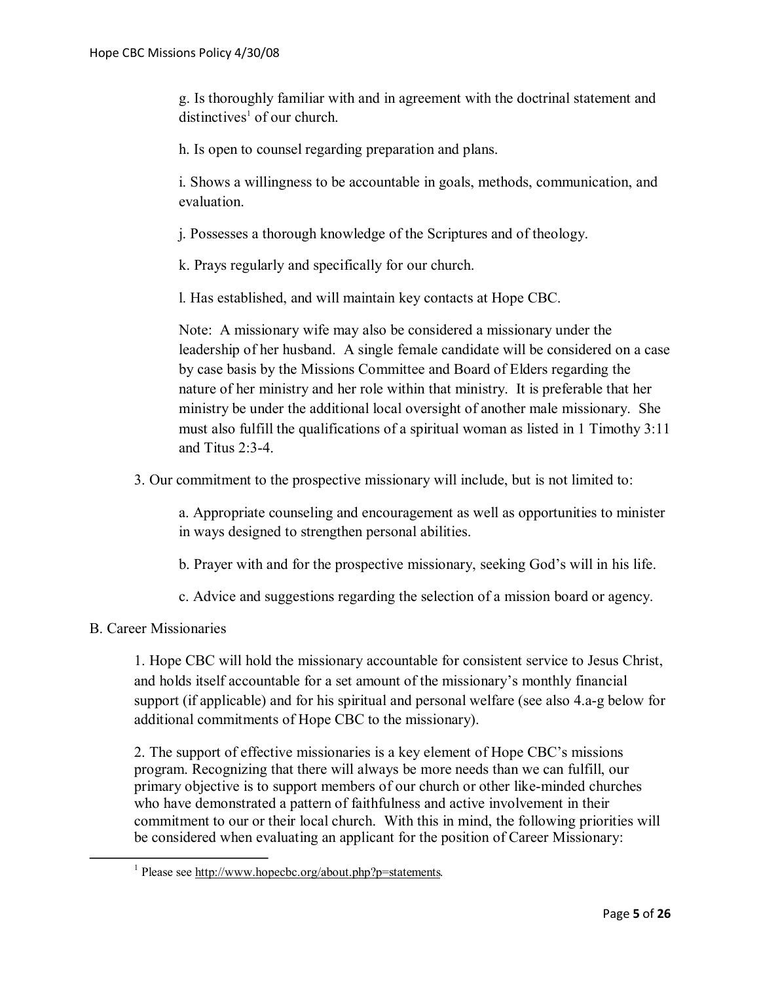g. Is thoroughly familiar with and in agreement with the doctrinal statement and  $distinctives<sup>1</sup>$  of our church.

h. Is open to counsel regarding preparation and plans.

i. Shows a willingness to be accountable in goals, methods, communication, and evaluation.

j. Possesses a thorough knowledge of the Scriptures and of theology.

k. Prays regularly and specifically for our church.

l. Has established, and will maintain key contacts at Hope CBC.

Note: A missionary wife may also be considered a missionary under the leadership of her husband. A single female candidate will be considered on a case by case basis by the Missions Committee and Board of Elders regarding the nature of her ministry and her role within that ministry. It is preferable that her ministry be under the additional local oversight of another male missionary. She must also fulfill the qualifications of a spiritual woman as listed in 1 Timothy 3:11 and Titus 2:3-4.

3. Our commitment to the prospective missionary will include, but is not limited to:

a. Appropriate counseling and encouragement as well as opportunities to minister in ways designed to strengthen personal abilities.

b. Prayer with and for the prospective missionary, seeking God's will in his life.

c. Advice and suggestions regarding the selection of a mission board or agency.

#### B. Career Missionaries

1

1. Hope CBC will hold the missionary accountable for consistent service to Jesus Christ, and holds itself accountable for a set amount of the missionary's monthly financial support (if applicable) and for his spiritual and personal welfare (see also 4.a-g below for additional commitments of Hope CBC to the missionary).

2. The support of effective missionaries is a key element of Hope CBC's missions program. Recognizing that there will always be more needs than we can fulfill, our primary objective is to support members of our church or other like-minded churches who have demonstrated a pattern of faithfulness and active involvement in their commitment to our or their local church. With this in mind, the following priorities will be considered when evaluating an applicant for the position of Career Missionary:

<sup>&</sup>lt;sup>1</sup> Please see http://www.hopecbc.org/about.php?p=statements.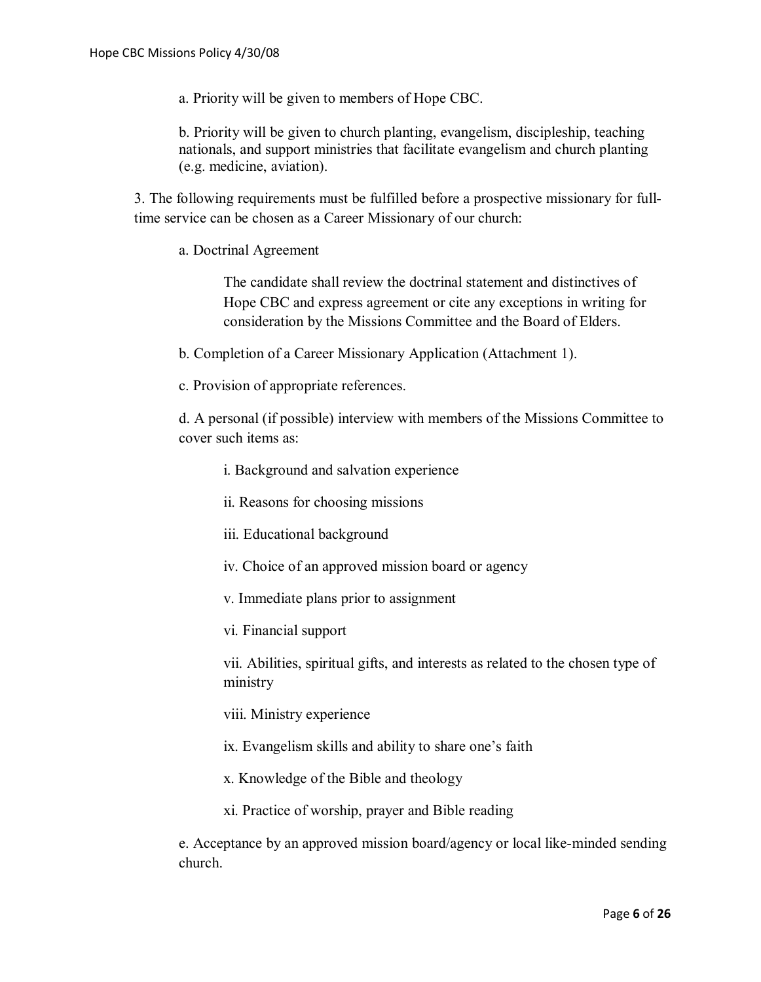a. Priority will be given to members of Hope CBC.

b. Priority will be given to church planting, evangelism, discipleship, teaching nationals, and support ministries that facilitate evangelism and church planting (e.g. medicine, aviation).

3. The following requirements must be fulfilled before a prospective missionary for fulltime service can be chosen as a Career Missionary of our church:

a. Doctrinal Agreement

The candidate shall review the doctrinal statement and distinctives of Hope CBC and express agreement or cite any exceptions in writing for consideration by the Missions Committee and the Board of Elders.

b. Completion of a Career Missionary Application (Attachment 1).

c. Provision of appropriate references.

d. A personal (if possible) interview with members of the Missions Committee to cover such items as:

i. Background and salvation experience

ii. Reasons for choosing missions

iii. Educational background

iv. Choice of an approved mission board or agency

v. Immediate plans prior to assignment

vi. Financial support

vii. Abilities, spiritual gifts, and interests as related to the chosen type of ministry

viii. Ministry experience

ix. Evangelism skills and ability to share one's faith

x. Knowledge of the Bible and theology

xi. Practice of worship, prayer and Bible reading

e. Acceptance by an approved mission board/agency or local like-minded sending church.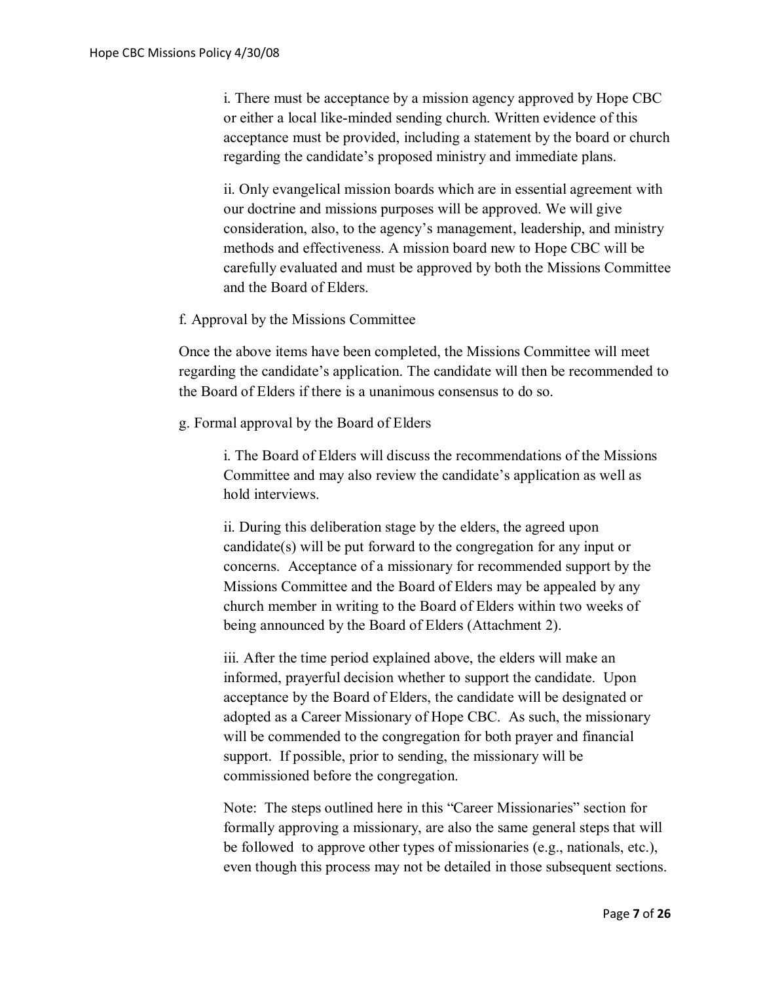i. There must be acceptance by a mission agency approved by Hope CBC or either a local like-minded sending church. Written evidence of this acceptance must be provided, including a statement by the board or church regarding the candidate's proposed ministry and immediate plans.

ii. Only evangelical mission boards which are in essential agreement with our doctrine and missions purposes will be approved. We will give consideration, also, to the agency's management, leadership, and ministry methods and effectiveness. A mission board new to Hope CBC will be carefully evaluated and must be approved by both the Missions Committee and the Board of Elders.

#### f. Approval by the Missions Committee

Once the above items have been completed, the Missions Committee will meet regarding the candidate's application. The candidate will then be recommended to the Board of Elders if there is a unanimous consensus to do so.

g. Formal approval by the Board of Elders

i. The Board of Elders will discuss the recommendations of the Missions Committee and may also review the candidate's application as well as hold interviews.

ii. During this deliberation stage by the elders, the agreed upon candidate(s) will be put forward to the congregation for any input or concerns. Acceptance of a missionary for recommended support by the Missions Committee and the Board of Elders may be appealed by any church member in writing to the Board of Elders within two weeks of being announced by the Board of Elders (Attachment 2).

iii. After the time period explained above, the elders will make an informed, prayerful decision whether to support the candidate. Upon acceptance by the Board of Elders, the candidate will be designated or adopted as a Career Missionary of Hope CBC. As such, the missionary will be commended to the congregation for both prayer and financial support. If possible, prior to sending, the missionary will be commissioned before the congregation.

Note: The steps outlined here in this "Career Missionaries" section for formally approving a missionary, are also the same general steps that will be followed to approve other types of missionaries (e.g., nationals, etc.), even though this process may not be detailed in those subsequent sections.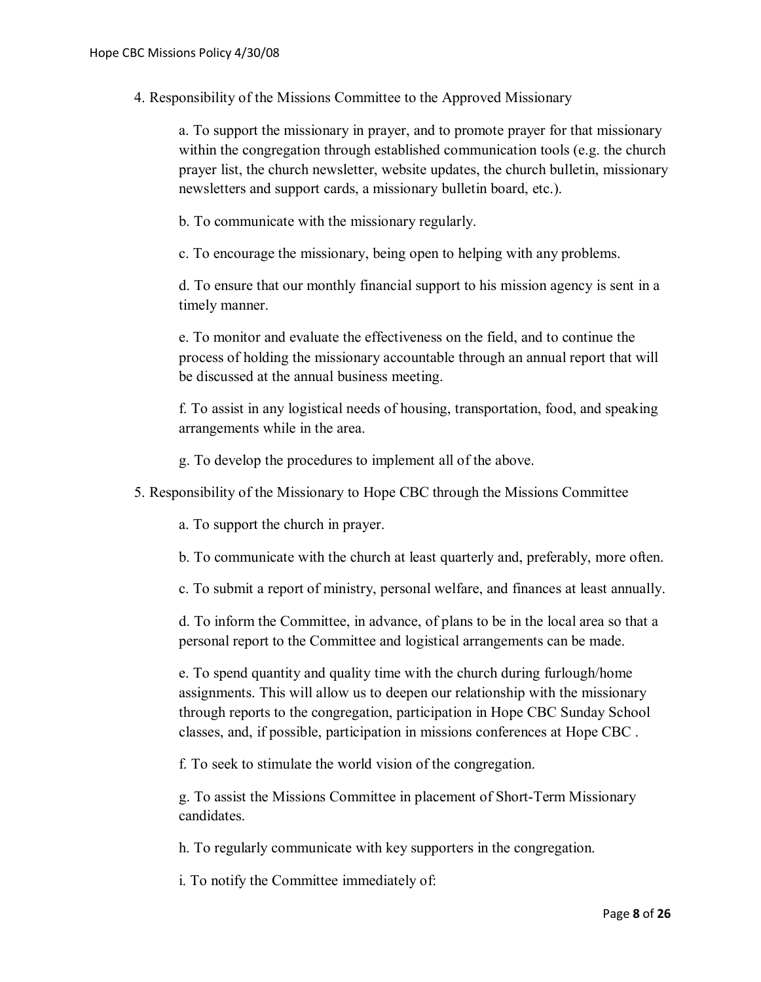4. Responsibility of the Missions Committee to the Approved Missionary

a. To support the missionary in prayer, and to promote prayer for that missionary within the congregation through established communication tools (e.g. the church prayer list, the church newsletter, website updates, the church bulletin, missionary newsletters and support cards, a missionary bulletin board, etc.).

b. To communicate with the missionary regularly.

c. To encourage the missionary, being open to helping with any problems.

d. To ensure that our monthly financial support to his mission agency is sent in a timely manner.

e. To monitor and evaluate the effectiveness on the field, and to continue the process of holding the missionary accountable through an annual report that will be discussed at the annual business meeting.

f. To assist in any logistical needs of housing, transportation, food, and speaking arrangements while in the area.

g. To develop the procedures to implement all of the above.

5. Responsibility of the Missionary to Hope CBC through the Missions Committee

a. To support the church in prayer.

b. To communicate with the church at least quarterly and, preferably, more often.

c. To submit a report of ministry, personal welfare, and finances at least annually.

d. To inform the Committee, in advance, of plans to be in the local area so that a personal report to the Committee and logistical arrangements can be made.

e. To spend quantity and quality time with the church during furlough/home assignments. This will allow us to deepen our relationship with the missionary through reports to the congregation, participation in Hope CBC Sunday School classes, and, if possible, participation in missions conferences at Hope CBC .

f. To seek to stimulate the world vision of the congregation.

g. To assist the Missions Committee in placement of Short-Term Missionary candidates.

h. To regularly communicate with key supporters in the congregation.

i. To notify the Committee immediately of: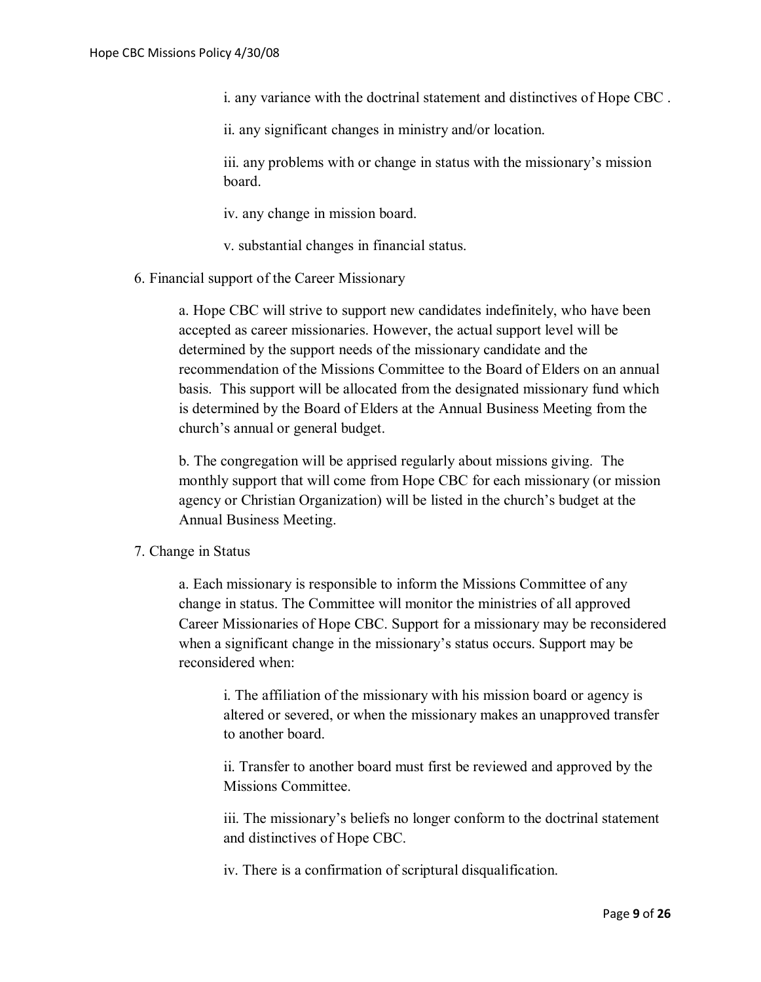i. any variance with the doctrinal statement and distinctives of Hope CBC .

ii. any significant changes in ministry and/or location.

iii. any problems with or change in status with the missionary's mission board.

iv. any change in mission board.

v. substantial changes in financial status.

6. Financial support of the Career Missionary

a. Hope CBC will strive to support new candidates indefinitely, who have been accepted as career missionaries. However, the actual support level will be determined by the support needs of the missionary candidate and the recommendation of the Missions Committee to the Board of Elders on an annual basis. This support will be allocated from the designated missionary fund which is determined by the Board of Elders at the Annual Business Meeting from the church's annual or general budget.

b. The congregation will be apprised regularly about missions giving. The monthly support that will come from Hope CBC for each missionary (or mission agency or Christian Organization) will be listed in the church's budget at the Annual Business Meeting.

#### 7. Change in Status

a. Each missionary is responsible to inform the Missions Committee of any change in status. The Committee will monitor the ministries of all approved Career Missionaries of Hope CBC. Support for a missionary may be reconsidered when a significant change in the missionary's status occurs. Support may be reconsidered when:

i. The affiliation of the missionary with his mission board or agency is altered or severed, or when the missionary makes an unapproved transfer to another board.

ii. Transfer to another board must first be reviewed and approved by the Missions Committee.

iii. The missionary's beliefs no longer conform to the doctrinal statement and distinctives of Hope CBC.

iv. There is a confirmation of scriptural disqualification.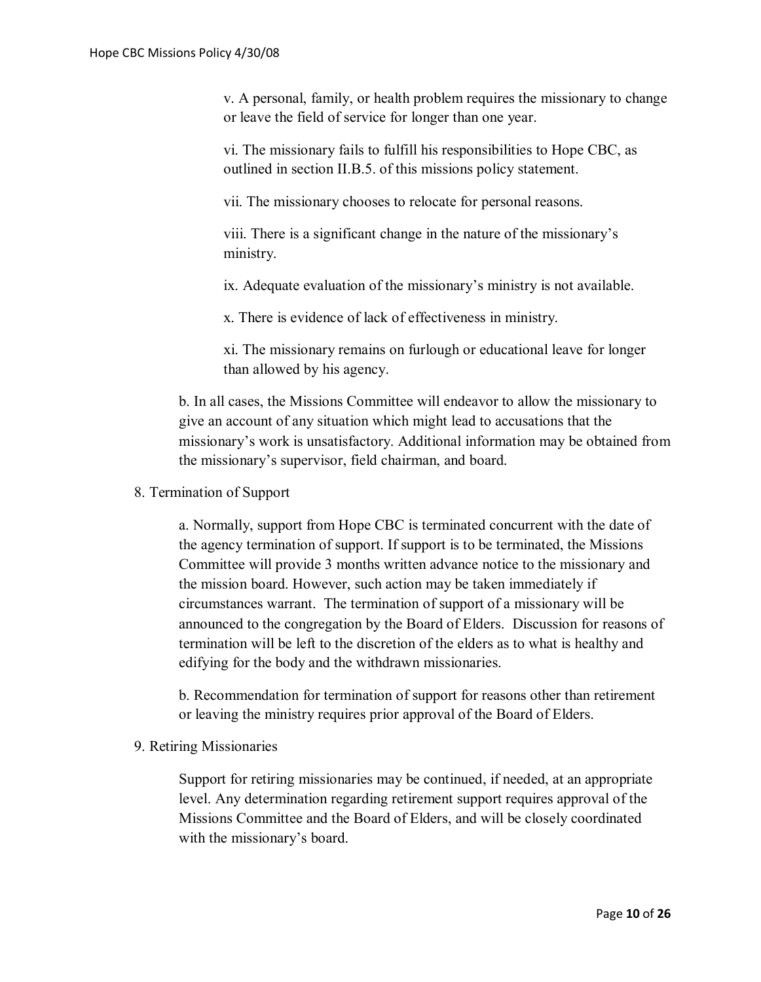v. A personal, family, or health problem requires the missionary to change or leave the field of service for longer than one year.

vi. The missionary fails to fulfill his responsibilities to Hope CBC, as outlined in section II.B.5. of this missions policy statement.

vii. The missionary chooses to relocate for personal reasons.

viii. There is a significant change in the nature of the missionary's ministry.

ix. Adequate evaluation of the missionary's ministry is not available.

x. There is evidence of lack of effectiveness in ministry.

xi. The missionary remains on furlough or educational leave for longer than allowed by his agency.

b. In all cases, the Missions Committee will endeavor to allow the missionary to give an account of any situation which might lead to accusations that the missionary's work is unsatisfactory. Additional information may be obtained from the missionary's supervisor, field chairman, and board.

#### 8. Termination of Support

a. Normally, support from Hope CBC is terminated concurrent with the date of the agency termination of support. If support is to be terminated, the Missions Committee will provide 3 months written advance notice to the missionary and the mission board. However, such action may be taken immediately if circumstances warrant. The termination of support of a missionary will be announced to the congregation by the Board of Elders. Discussion for reasons of termination will be left to the discretion of the elders as to what is healthy and edifying for the body and the withdrawn missionaries.

b. Recommendation for termination of support for reasons other than retirement or leaving the ministry requires prior approval of the Board of Elders.

#### 9. Retiring Missionaries

Support for retiring missionaries may be continued, if needed, at an appropriate level. Any determination regarding retirement support requires approval of the Missions Committee and the Board of Elders, and will be closely coordinated with the missionary's board.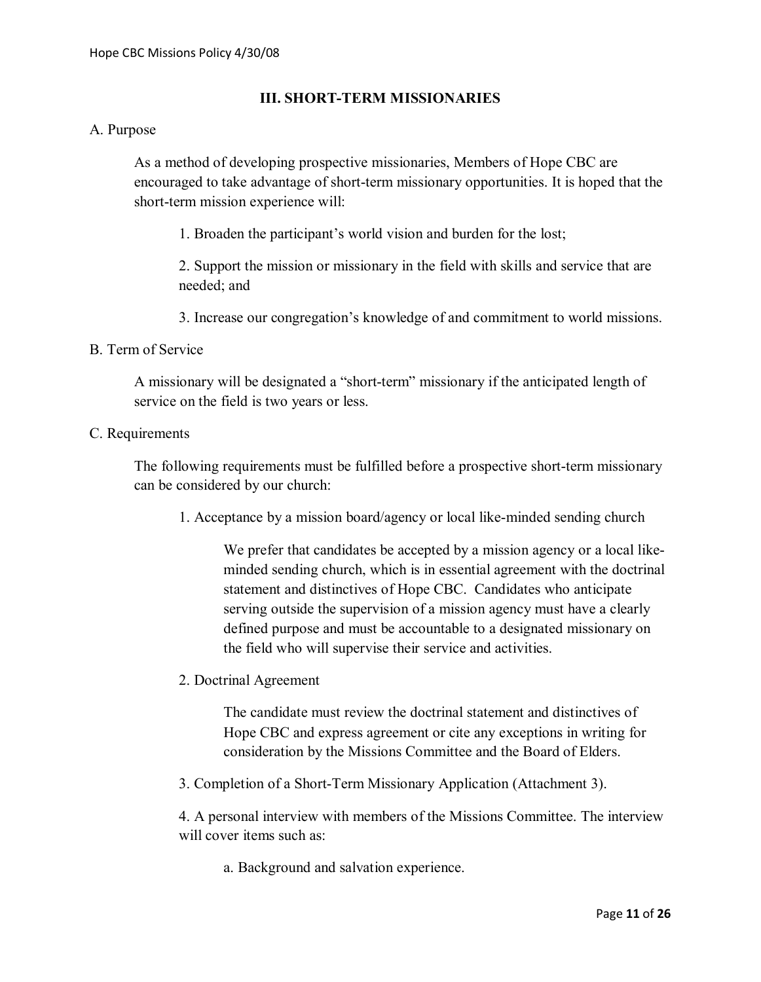# **III. SHORT-TERM MISSIONARIES**

#### A. Purpose

As a method of developing prospective missionaries, Members of Hope CBC are encouraged to take advantage of short-term missionary opportunities. It is hoped that the short-term mission experience will:

1. Broaden the participant's world vision and burden for the lost;

2. Support the mission or missionary in the field with skills and service that are needed; and

3. Increase our congregation's knowledge of and commitment to world missions.

#### B. Term of Service

A missionary will be designated a "short-term" missionary if the anticipated length of service on the field is two years or less.

#### C. Requirements

The following requirements must be fulfilled before a prospective short-term missionary can be considered by our church:

1. Acceptance by a mission board/agency or local like-minded sending church

We prefer that candidates be accepted by a mission agency or a local likeminded sending church, which is in essential agreement with the doctrinal statement and distinctives of Hope CBC. Candidates who anticipate serving outside the supervision of a mission agency must have a clearly defined purpose and must be accountable to a designated missionary on the field who will supervise their service and activities.

2. Doctrinal Agreement

The candidate must review the doctrinal statement and distinctives of Hope CBC and express agreement or cite any exceptions in writing for consideration by the Missions Committee and the Board of Elders.

3. Completion of a Short-Term Missionary Application (Attachment 3).

4. A personal interview with members of the Missions Committee. The interview will cover items such as:

a. Background and salvation experience.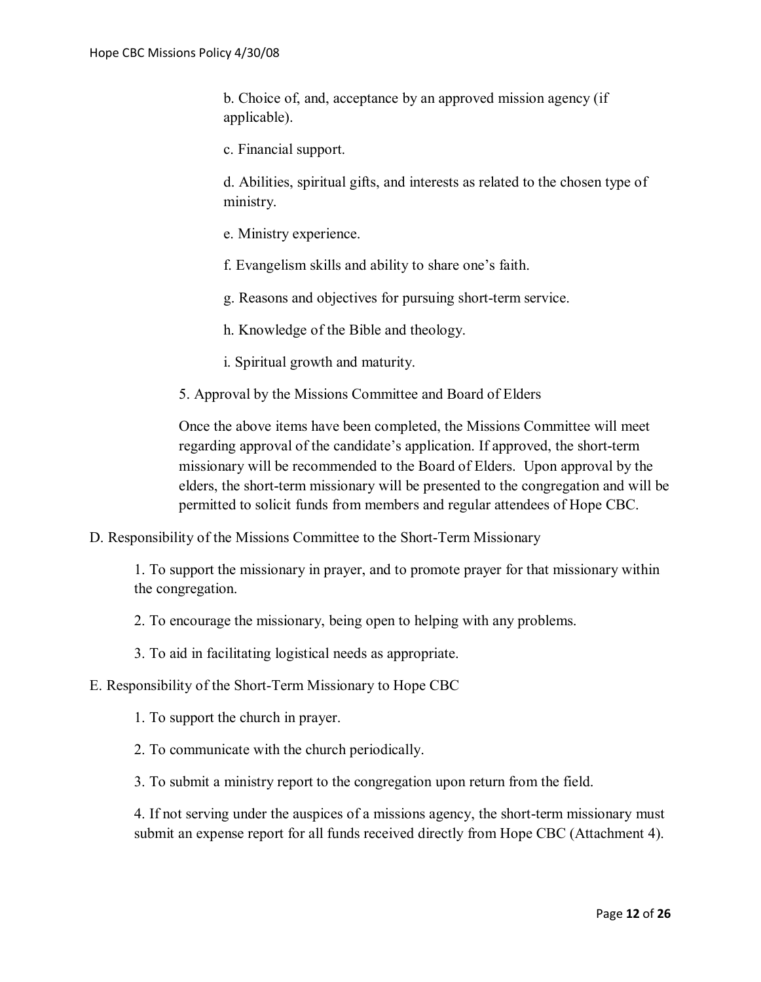b. Choice of, and, acceptance by an approved mission agency (if applicable).

c. Financial support.

d. Abilities, spiritual gifts, and interests as related to the chosen type of ministry.

- e. Ministry experience.
- f. Evangelism skills and ability to share one's faith.
- g. Reasons and objectives for pursuing short-term service.
- h. Knowledge of the Bible and theology.
- i. Spiritual growth and maturity.
- 5. Approval by the Missions Committee and Board of Elders

Once the above items have been completed, the Missions Committee will meet regarding approval of the candidate's application. If approved, the short-term missionary will be recommended to the Board of Elders. Upon approval by the elders, the short-term missionary will be presented to the congregation and will be permitted to solicit funds from members and regular attendees of Hope CBC.

D. Responsibility of the Missions Committee to the Short-Term Missionary

1. To support the missionary in prayer, and to promote prayer for that missionary within the congregation.

2. To encourage the missionary, being open to helping with any problems.

3. To aid in facilitating logistical needs as appropriate.

E. Responsibility of the Short-Term Missionary to Hope CBC

1. To support the church in prayer.

2. To communicate with the church periodically.

3. To submit a ministry report to the congregation upon return from the field.

4. If not serving under the auspices of a missions agency, the short-term missionary must submit an expense report for all funds received directly from Hope CBC (Attachment 4).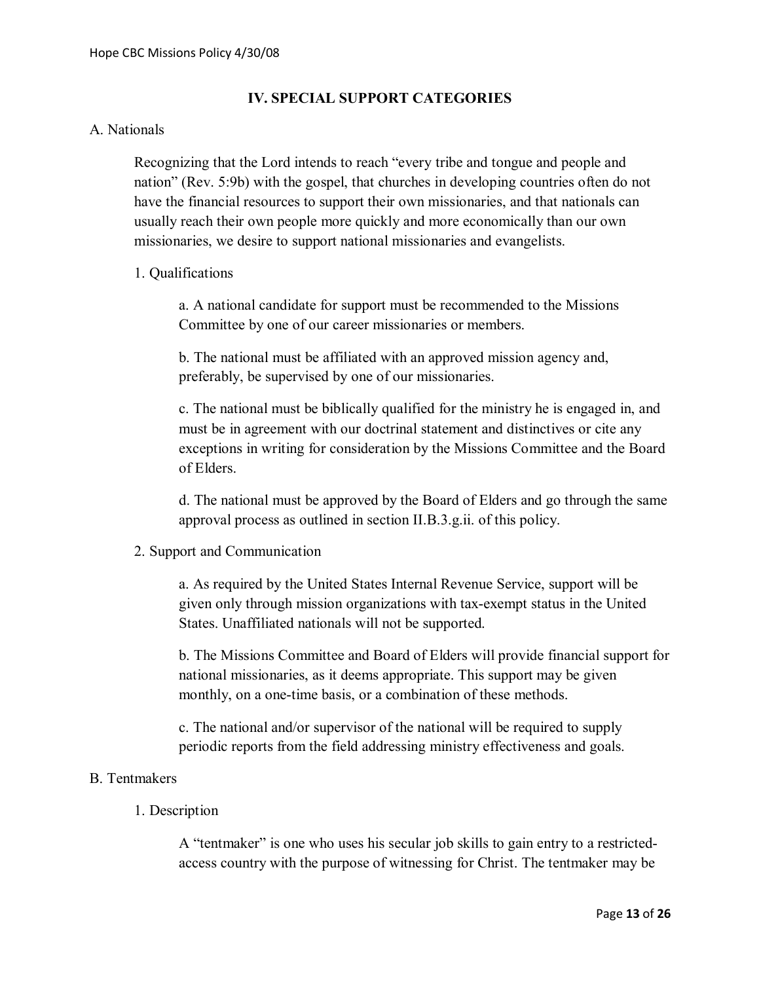#### **IV. SPECIAL SUPPORT CATEGORIES**

#### A. Nationals

Recognizing that the Lord intends to reach "every tribe and tongue and people and nation" (Rev. 5:9b) with the gospel, that churches in developing countries often do not have the financial resources to support their own missionaries, and that nationals can usually reach their own people more quickly and more economically than our own missionaries, we desire to support national missionaries and evangelists.

#### 1. Qualifications

a. A national candidate for support must be recommended to the Missions Committee by one of our career missionaries or members.

b. The national must be affiliated with an approved mission agency and, preferably, be supervised by one of our missionaries.

c. The national must be biblically qualified for the ministry he is engaged in, and must be in agreement with our doctrinal statement and distinctives or cite any exceptions in writing for consideration by the Missions Committee and the Board of Elders.

d. The national must be approved by the Board of Elders and go through the same approval process as outlined in section II.B.3.g.ii. of this policy.

#### 2. Support and Communication

a. As required by the United States Internal Revenue Service, support will be given only through mission organizations with tax-exempt status in the United States. Unaffiliated nationals will not be supported.

b. The Missions Committee and Board of Elders will provide financial support for national missionaries, as it deems appropriate. This support may be given monthly, on a one-time basis, or a combination of these methods.

c. The national and/or supervisor of the national will be required to supply periodic reports from the field addressing ministry effectiveness and goals.

#### B. Tentmakers

1. Description

A "tentmaker" is one who uses his secular job skills to gain entry to a restrictedaccess country with the purpose of witnessing for Christ. The tentmaker may be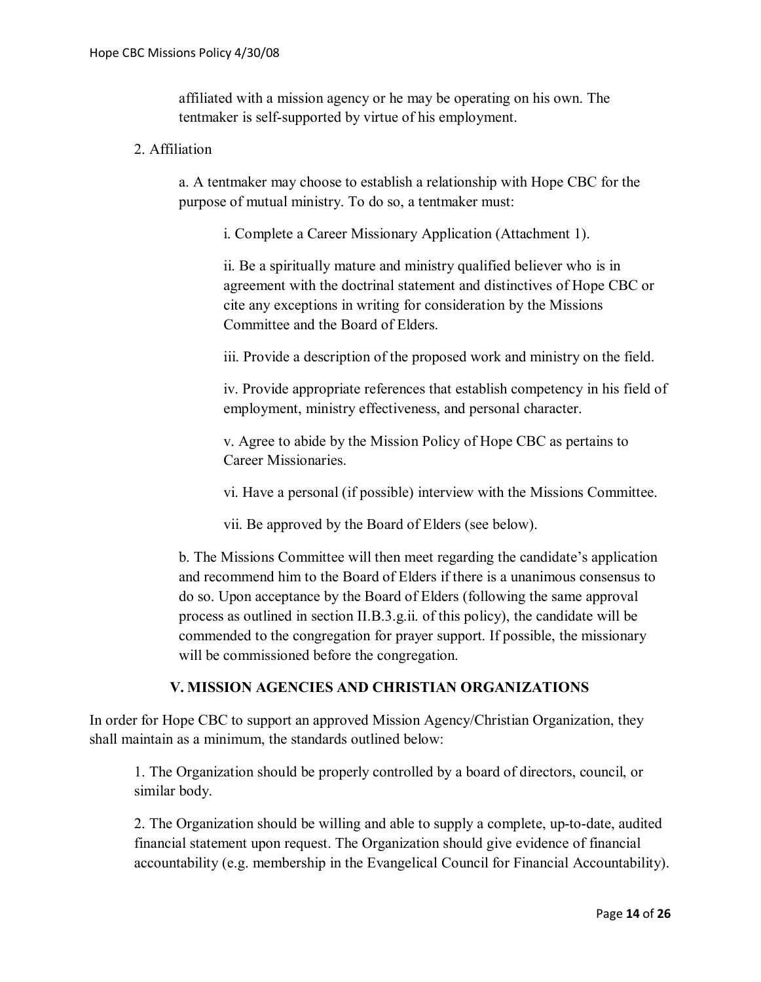affiliated with a mission agency or he may be operating on his own. The tentmaker is self-supported by virtue of his employment.

# 2. Affiliation

a. A tentmaker may choose to establish a relationship with Hope CBC for the purpose of mutual ministry. To do so, a tentmaker must:

i. Complete a Career Missionary Application (Attachment 1).

ii. Be a spiritually mature and ministry qualified believer who is in agreement with the doctrinal statement and distinctives of Hope CBC or cite any exceptions in writing for consideration by the Missions Committee and the Board of Elders.

iii. Provide a description of the proposed work and ministry on the field.

iv. Provide appropriate references that establish competency in his field of employment, ministry effectiveness, and personal character.

v. Agree to abide by the Mission Policy of Hope CBC as pertains to Career Missionaries.

vi. Have a personal (if possible) interview with the Missions Committee.

vii. Be approved by the Board of Elders (see below).

b. The Missions Committee will then meet regarding the candidate's application and recommend him to the Board of Elders if there is a unanimous consensus to do so. Upon acceptance by the Board of Elders (following the same approval process as outlined in section II.B.3.g.ii. of this policy), the candidate will be commended to the congregation for prayer support. If possible, the missionary will be commissioned before the congregation.

# **V. MISSION AGENCIES AND CHRISTIAN ORGANIZATIONS**

In order for Hope CBC to support an approved Mission Agency/Christian Organization, they shall maintain as a minimum, the standards outlined below:

1. The Organization should be properly controlled by a board of directors, council, or similar body.

2. The Organization should be willing and able to supply a complete, up-to-date, audited financial statement upon request. The Organization should give evidence of financial accountability (e.g. membership in the Evangelical Council for Financial Accountability).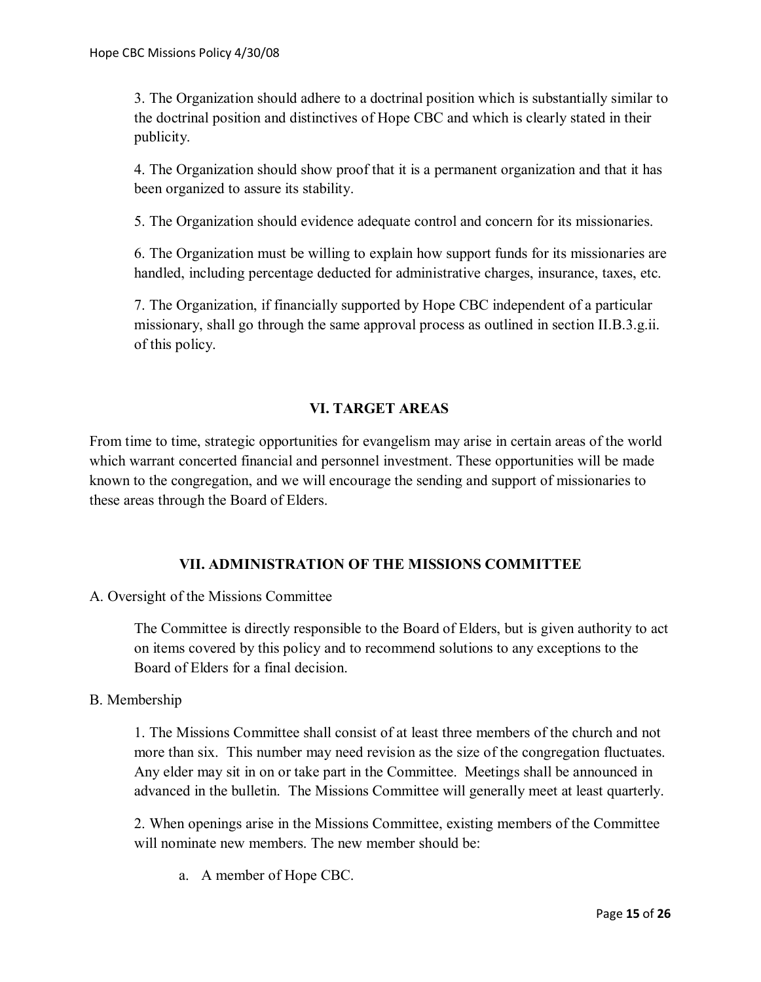3. The Organization should adhere to a doctrinal position which is substantially similar to the doctrinal position and distinctives of Hope CBC and which is clearly stated in their publicity.

4. The Organization should show proof that it is a permanent organization and that it has been organized to assure its stability.

5. The Organization should evidence adequate control and concern for its missionaries.

6. The Organization must be willing to explain how support funds for its missionaries are handled, including percentage deducted for administrative charges, insurance, taxes, etc.

7. The Organization, if financially supported by Hope CBC independent of a particular missionary, shall go through the same approval process as outlined in section II.B.3.g.ii. of this policy.

# **VI. TARGET AREAS**

From time to time, strategic opportunities for evangelism may arise in certain areas of the world which warrant concerted financial and personnel investment. These opportunities will be made known to the congregation, and we will encourage the sending and support of missionaries to these areas through the Board of Elders.

# **VII. ADMINISTRATION OF THE MISSIONS COMMITTEE**

A. Oversight of the Missions Committee

The Committee is directly responsible to the Board of Elders, but is given authority to act on items covered by this policy and to recommend solutions to any exceptions to the Board of Elders for a final decision.

#### B. Membership

1. The Missions Committee shall consist of at least three members of the church and not more than six. This number may need revision as the size of the congregation fluctuates. Any elder may sit in on or take part in the Committee. Meetings shall be announced in advanced in the bulletin. The Missions Committee will generally meet at least quarterly.

2. When openings arise in the Missions Committee, existing members of the Committee will nominate new members. The new member should be:

a. A member of Hope CBC.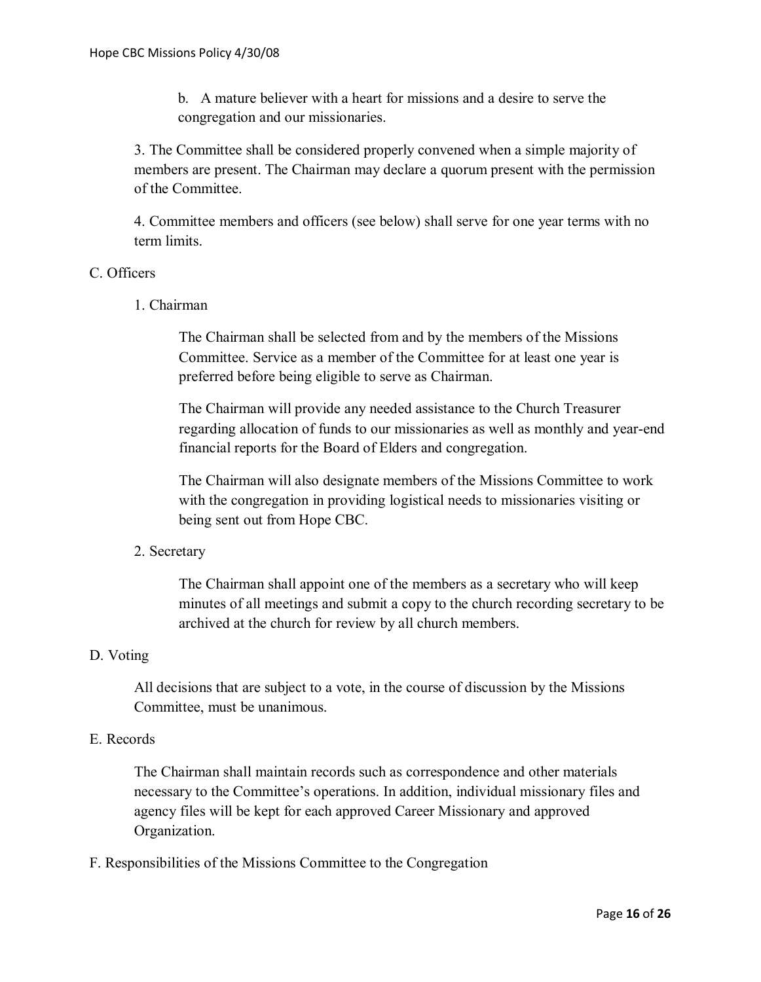b. A mature believer with a heart for missions and a desire to serve the congregation and our missionaries.

3. The Committee shall be considered properly convened when a simple majority of members are present. The Chairman may declare a quorum present with the permission of the Committee.

4. Committee members and officers (see below) shall serve for one year terms with no term limits.

#### C. Officers

1. Chairman

The Chairman shall be selected from and by the members of the Missions Committee. Service as a member of the Committee for at least one year is preferred before being eligible to serve as Chairman.

The Chairman will provide any needed assistance to the Church Treasurer regarding allocation of funds to our missionaries as well as monthly and year-end financial reports for the Board of Elders and congregation.

The Chairman will also designate members of the Missions Committee to work with the congregation in providing logistical needs to missionaries visiting or being sent out from Hope CBC.

#### 2. Secretary

The Chairman shall appoint one of the members as a secretary who will keep minutes of all meetings and submit a copy to the church recording secretary to be archived at the church for review by all church members.

#### D. Voting

All decisions that are subject to a vote, in the course of discussion by the Missions Committee, must be unanimous.

#### E. Records

The Chairman shall maintain records such as correspondence and other materials necessary to the Committee's operations. In addition, individual missionary files and agency files will be kept for each approved Career Missionary and approved Organization.

F. Responsibilities of the Missions Committee to the Congregation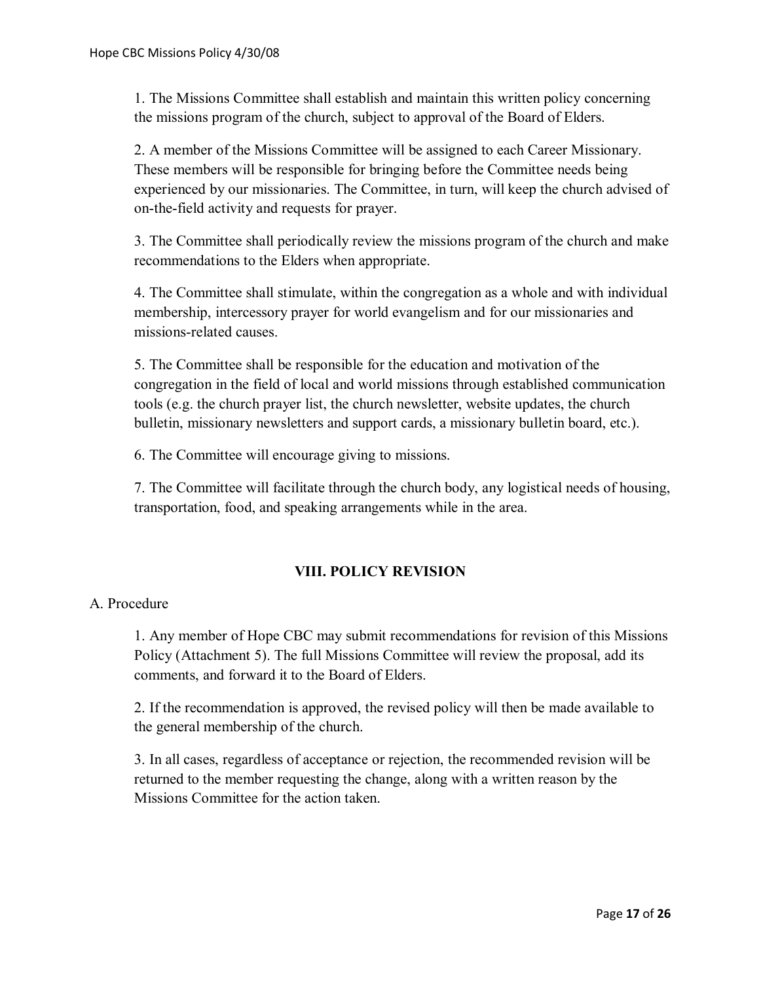1. The Missions Committee shall establish and maintain this written policy concerning the missions program of the church, subject to approval of the Board of Elders.

2. A member of the Missions Committee will be assigned to each Career Missionary. These members will be responsible for bringing before the Committee needs being experienced by our missionaries. The Committee, in turn, will keep the church advised of on-the-field activity and requests for prayer.

3. The Committee shall periodically review the missions program of the church and make recommendations to the Elders when appropriate.

4. The Committee shall stimulate, within the congregation as a whole and with individual membership, intercessory prayer for world evangelism and for our missionaries and missions-related causes.

5. The Committee shall be responsible for the education and motivation of the congregation in the field of local and world missions through established communication tools (e.g. the church prayer list, the church newsletter, website updates, the church bulletin, missionary newsletters and support cards, a missionary bulletin board, etc.).

6. The Committee will encourage giving to missions.

7. The Committee will facilitate through the church body, any logistical needs of housing, transportation, food, and speaking arrangements while in the area.

# **VIII. POLICY REVISION**

# A. Procedure

1. Any member of Hope CBC may submit recommendations for revision of this Missions Policy (Attachment 5). The full Missions Committee will review the proposal, add its comments, and forward it to the Board of Elders.

2. If the recommendation is approved, the revised policy will then be made available to the general membership of the church.

3. In all cases, regardless of acceptance or rejection, the recommended revision will be returned to the member requesting the change, along with a written reason by the Missions Committee for the action taken.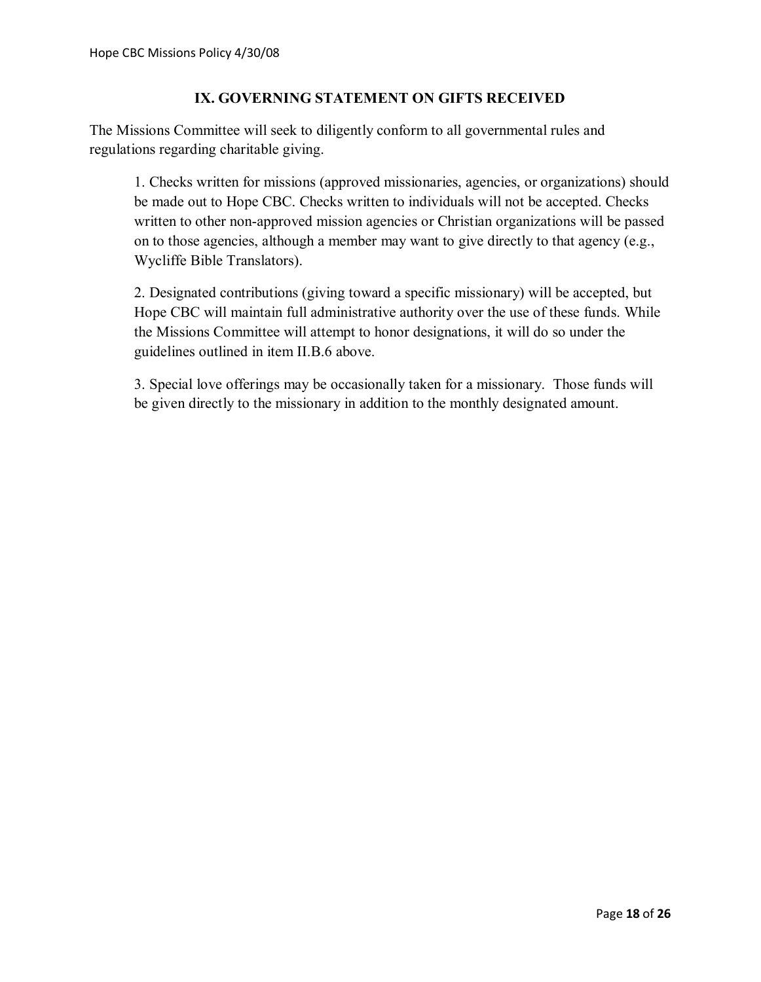# **IX. GOVERNING STATEMENT ON GIFTS RECEIVED**

The Missions Committee will seek to diligently conform to all governmental rules and regulations regarding charitable giving.

1. Checks written for missions (approved missionaries, agencies, or organizations) should be made out to Hope CBC. Checks written to individuals will not be accepted. Checks written to other non-approved mission agencies or Christian organizations will be passed on to those agencies, although a member may want to give directly to that agency (e.g., Wycliffe Bible Translators).

2. Designated contributions (giving toward a specific missionary) will be accepted, but Hope CBC will maintain full administrative authority over the use of these funds. While the Missions Committee will attempt to honor designations, it will do so under the guidelines outlined in item II.B.6 above.

3. Special love offerings may be occasionally taken for a missionary. Those funds will be given directly to the missionary in addition to the monthly designated amount.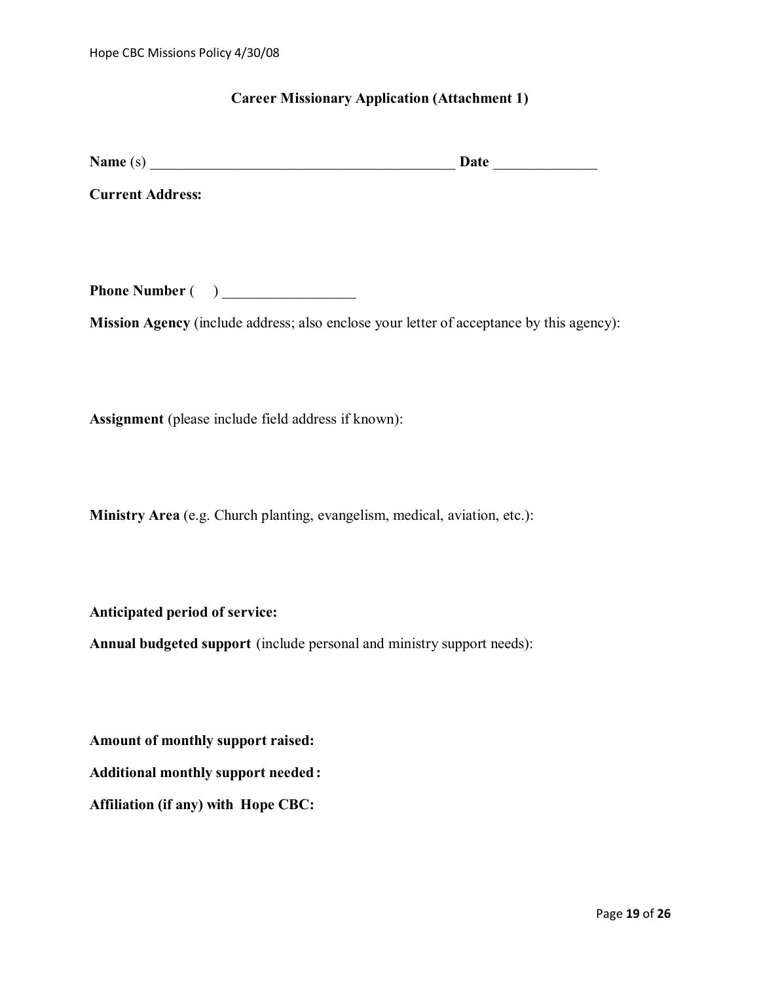#### **Career Missionary Application (Attachment 1)**

| <b>Name</b><br>. Iafr<br>. S J |  |
|--------------------------------|--|
|--------------------------------|--|

**Current Address:**

**Phone Number** ( )

**Mission Agency** (include address; also enclose your letter of acceptance by this agency):

**Assignment** (please include field address if known):

**Ministry Area** (e.g. Church planting, evangelism, medical, aviation, etc.):

**Anticipated period of service:**

**Annual budgeted support** (include personal and ministry support needs):

**Amount of monthly support raised:**

**Additional monthly support needed :**

**Affiliation (if any) with Hope CBC:**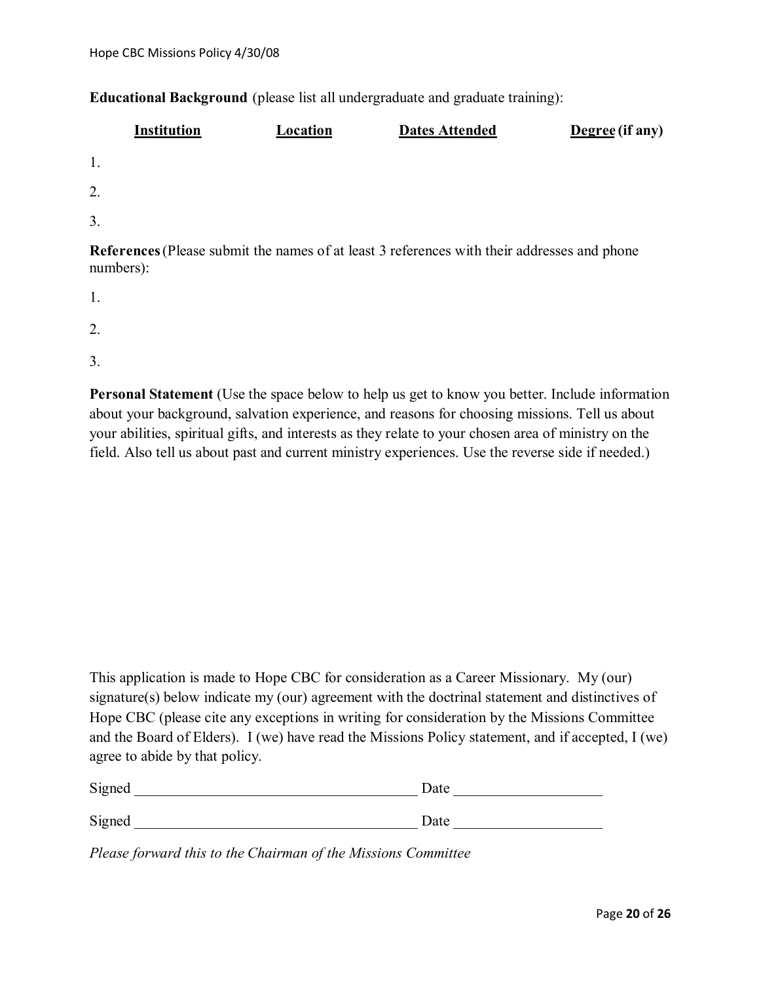**Educational Background** (please list all undergraduate and graduate training):

| <b>Institution</b>                                                                                              | Location | <b>Dates Attended</b> | Degree (if any) |
|-----------------------------------------------------------------------------------------------------------------|----------|-----------------------|-----------------|
| 1.                                                                                                              |          |                       |                 |
| 2.                                                                                                              |          |                       |                 |
| 3.                                                                                                              |          |                       |                 |
| <b>References</b> (Please submit the names of at least 3 references with their addresses and phone<br>numbers): |          |                       |                 |

1.

2.

3.

**Personal Statement** (Use the space below to help us get to know you better. Include information about your background, salvation experience, and reasons for choosing missions. Tell us about your abilities, spiritual gifts, and interests as they relate to your chosen area of ministry on the field. Also tell us about past and current ministry experiences. Use the reverse side if needed.)

This application is made to Hope CBC for consideration as a Career Missionary. My (our) signature(s) below indicate my (our) agreement with the doctrinal statement and distinctives of Hope CBC (please cite any exceptions in writing for consideration by the Missions Committee and the Board of Elders). I (we) have read the Missions Policy statement, and if accepted, I (we) agree to abide by that policy.

| Signed | Date |  |
|--------|------|--|
|        |      |  |
| Signed | Date |  |

*Please forward this to the Chairman of the Missions Committee*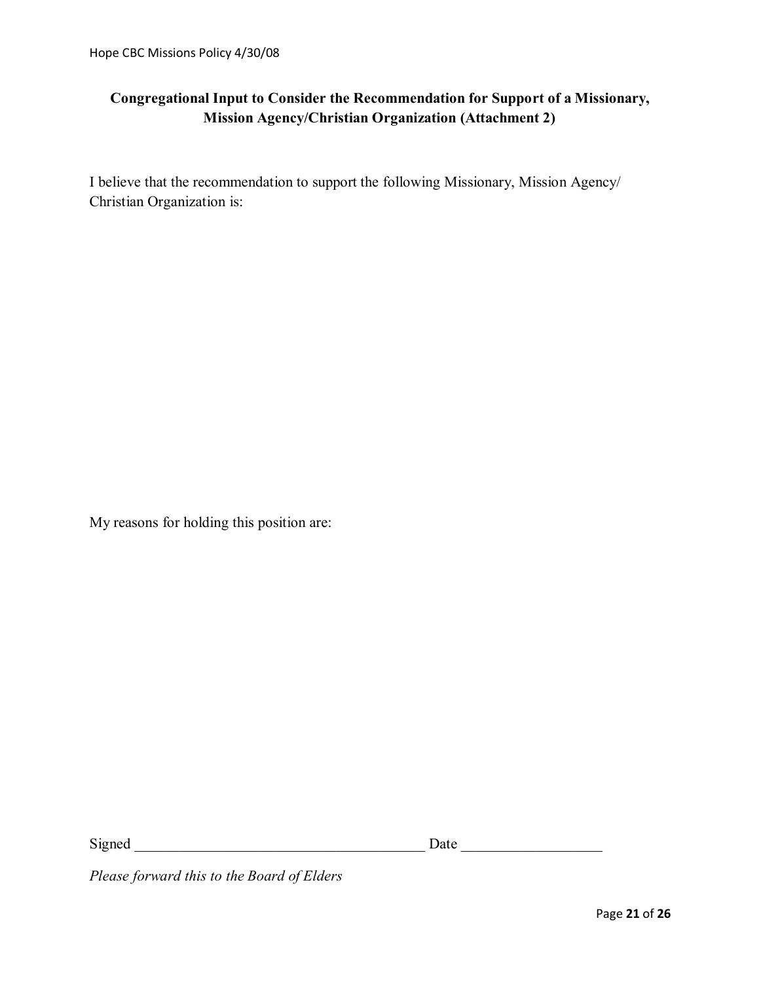# **Congregational Input to Consider the Recommendation for Support of a Missionary, Mission Agency/Christian Organization (Attachment 2)**

I believe that the recommendation to support the following Missionary, Mission Agency/ Christian Organization is:

My reasons for holding this position are:

Signed \_\_\_\_\_\_\_\_\_\_\_\_\_\_\_\_\_\_\_\_\_\_\_\_\_\_\_\_\_\_\_\_\_\_\_\_\_\_\_ Date \_\_\_\_\_\_\_\_\_\_\_\_\_\_\_\_\_\_\_

*Please forward this to the Board of Elders*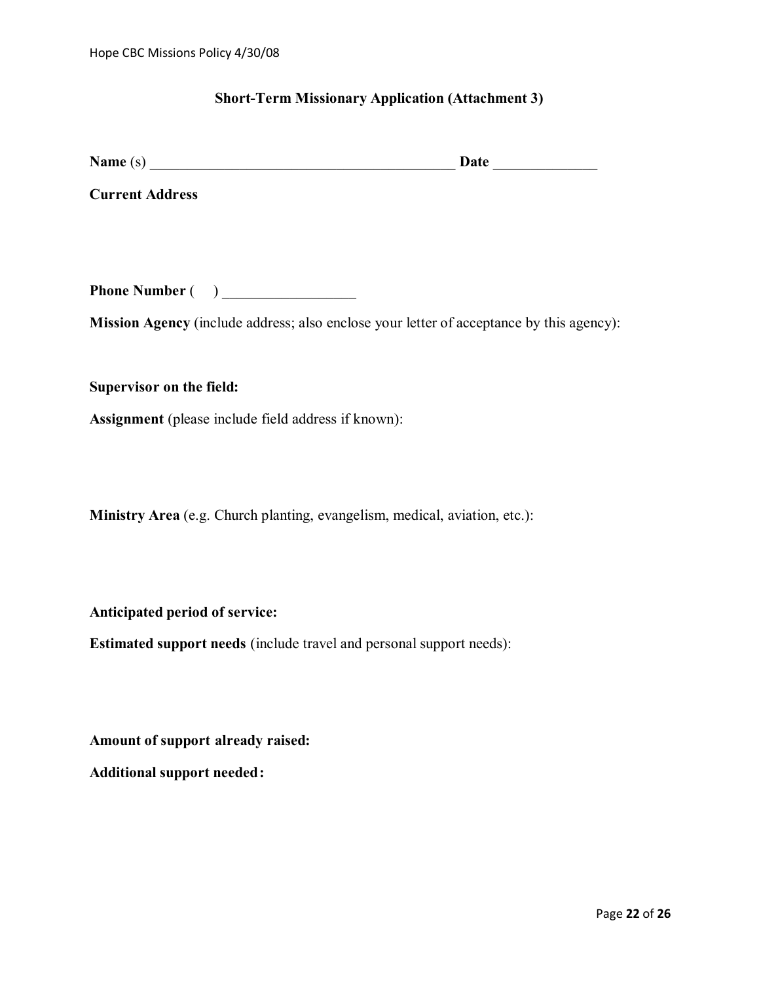#### **Short-Term Missionary Application (Attachment 3)**

| <b>Name</b> | $-4$<br>19 L E |  |
|-------------|----------------|--|
|             |                |  |

**Current Address**

**Phone Number** ( )

**Mission Agency** (include address; also enclose your letter of acceptance by this agency):

**Supervisor on the field:**

**Assignment** (please include field address if known):

**Ministry Area** (e.g. Church planting, evangelism, medical, aviation, etc.):

**Anticipated period of service:**

**Estimated support needs** (include travel and personal support needs):

**Amount of support already raised:**

**Additional support needed:**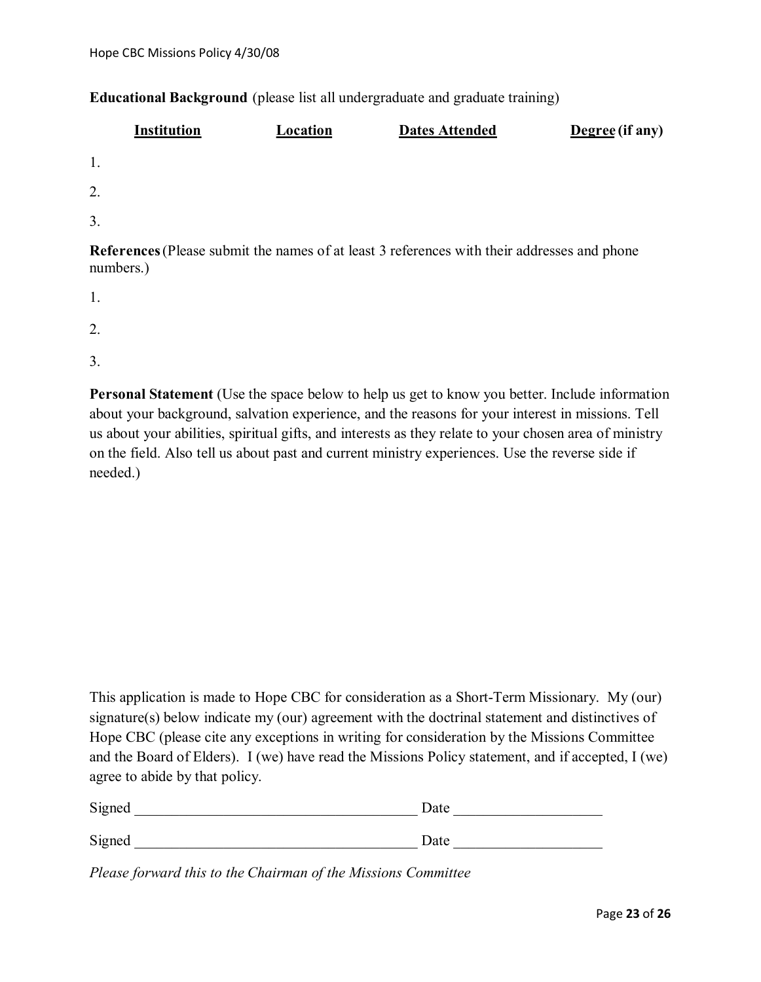## **Educational Background** (please list all undergraduate and graduate training)

|                  | <b>Institution</b> | Location | <b>Dates Attended</b>                                                                       | Degree (if any) |
|------------------|--------------------|----------|---------------------------------------------------------------------------------------------|-----------------|
| 1.               |                    |          |                                                                                             |                 |
| 2.               |                    |          |                                                                                             |                 |
| $\overline{3}$ . |                    |          |                                                                                             |                 |
|                  | numbers.)          |          | References (Please submit the names of at least 3 references with their addresses and phone |                 |
|                  |                    |          |                                                                                             |                 |

- 1.
- 2.
- 3.

**Personal Statement** (Use the space below to help us get to know you better. Include information about your background, salvation experience, and the reasons for your interest in missions. Tell us about your abilities, spiritual gifts, and interests as they relate to your chosen area of ministry on the field. Also tell us about past and current ministry experiences. Use the reverse side if needed.)

This application is made to Hope CBC for consideration as a Short-Term Missionary. My (our) signature(s) below indicate my (our) agreement with the doctrinal statement and distinctives of Hope CBC (please cite any exceptions in writing for consideration by the Missions Committee and the Board of Elders). I (we) have read the Missions Policy statement, and if accepted, I (we) agree to abide by that policy.

| Signed | Date |
|--------|------|
| Signed | Date |

*Please forward this to the Chairman of the Missions Committee*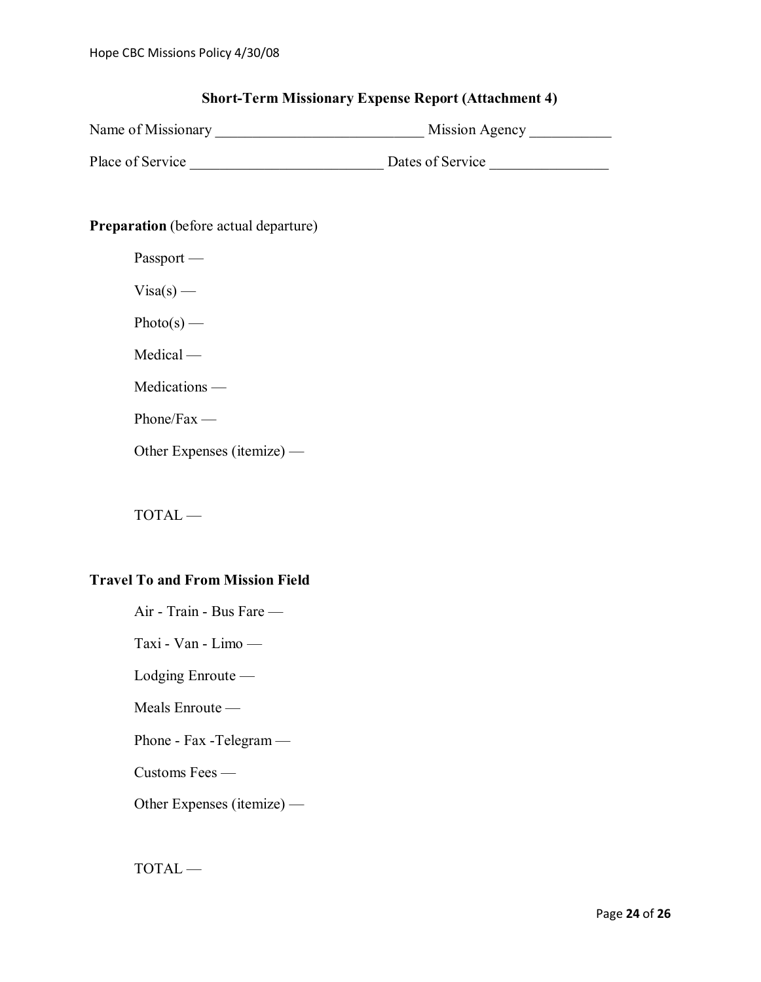# **Short-Term Missionary Expense Report (Attachment 4)**

| Name of Missionary | Mission Agency |
|--------------------|----------------|
|                    |                |

Place of Service \_\_\_\_\_\_\_\_\_\_\_\_\_\_\_\_\_\_\_\_\_\_\_\_\_\_ Dates of Service \_\_\_\_\_\_\_\_\_\_\_\_\_\_\_\_

# **Preparation** (before actual departure)

| Passport |
|----------|
|----------|

 $Visa(s)$  —

Photo(s) —

Medical —

Medications —

Phone/Fax —

Other Expenses (itemize) —

TOTAL —

# **Travel To and From Mission Field**

| Air - Train - Bus Fare —   |
|----------------------------|
| Taxi - Van - Limo $-$      |
| Lodging $Enroute$          |
| Meals Enroute $-$          |
| Phone - Fax - Telegram $-$ |
| Customs Fees —             |
| Other Expenses (itemize) — |

TOTAL —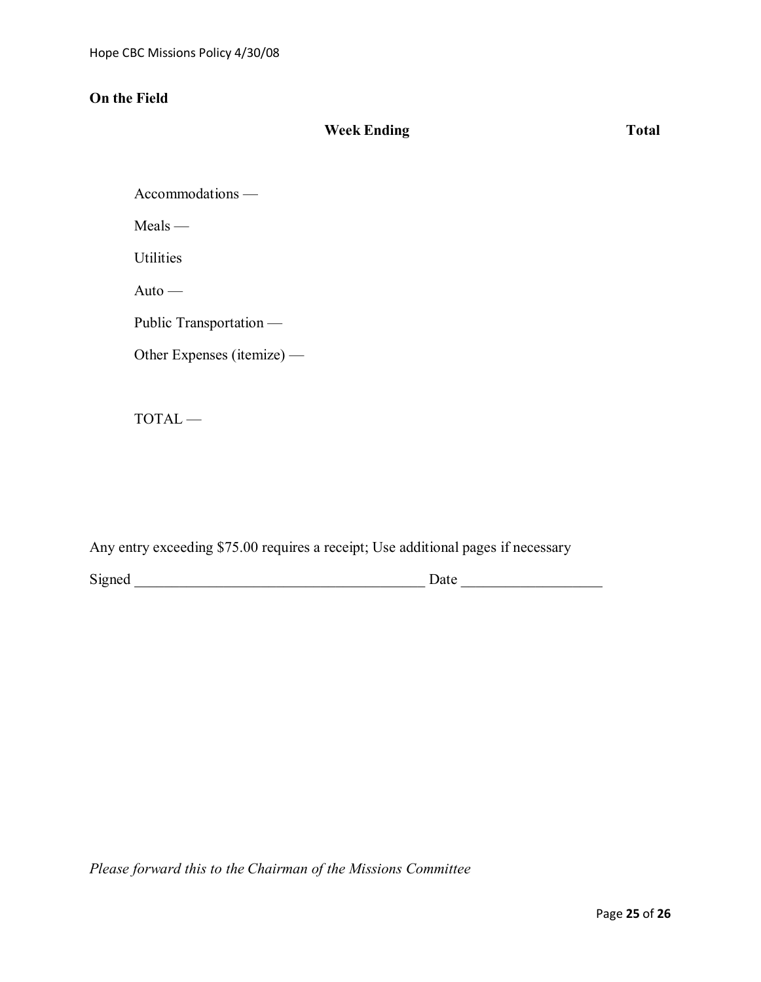# **On the Field**

# **Week Ending Total**

Accommodations —

Meals —

**Utilities** 

Auto —

Public Transportation —

Other Expenses (itemize) —

TOTAL —

Any entry exceeding \$75.00 requires a receipt; Use additional pages if necessary

Signed \_\_\_\_\_\_\_\_\_\_\_\_\_\_\_\_\_\_\_\_\_\_\_\_\_\_\_\_\_\_\_\_\_\_\_\_\_\_\_ Date \_\_\_\_\_\_\_\_\_\_\_\_\_\_\_\_\_\_\_

*Please forward this to the Chairman of the Missions Committee*